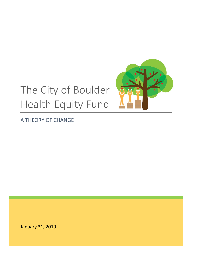# The City of Boulder Health Equity Fund



A THEORY OF CHANGE

January 31, 2019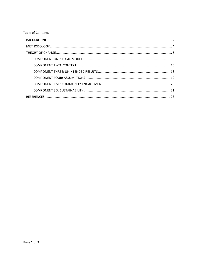#### Table of Contents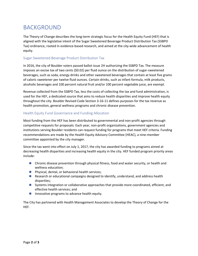# <span id="page-2-0"></span>BACKGROUND

The Theory of Change describes the long-term strategic focus for the Health Equity Fund (HEF) that is aligned with the legislative intent of the Sugar Sweetened Beverage Product Distribution Tax (SSBPD Tax) ordinance, rooted in evidence-based research, and aimed at the city-wide advancement of health equity.

#### Sugar Sweetened Beverage Product Distribution Tax

In 2016, the city of Boulder voters passed ballot issue 2H authorizing the SSBPD Tax. The measure imposes an excise tax of two cents (\$0.02) per fluid ounce on the distribution of sugar-sweetened beverages, such as soda, energy drinks and other sweetened beverages that contain at least five grams of caloric sweetener per twelve fluid ounces. Certain drinks, such as infant formula, milk products, alcoholic beverages and 100 percent natural fruit and/or 100 percent vegetable juice, are exempt.

Revenue collected from the SSBPD Tax, less the costs of collecting the tax and fund administration, is used for the HEF, a dedicated source that aims to reduce health disparities and improve health equity throughout the city. Boulder Revised Code Section 3-16-11 defines purposes for the tax revenue as health promotion, general wellness programs and chronic disease prevention.

#### Health Equity Fund Governance and Funding Allocation

Most funding from the HEF has been distributed to governmental and non-profit agencies through competitive requests for proposals. Each year, non-profit organizations, government agencies and institutions serving Boulder residents can request funding for programs that meet HEF criteria. Funding recommendations are made by the Health Equity Advisory Committee (HEAC), a nine-member committee appointed by the city manager.

Since the tax went into effect on July 1, 2017, the city has awarded funding to programs aimed at decreasing health disparities and increasing health equity in the city. HEF funded program priority areas include:

- Chronic disease prevention through physical fitness, food and water security, or health and wellness education;
- **Physical, dental, or behavioral health services;**
- **Research or educational campaigns designed to identify, understand, and address health** disparities;
- Systems integration or collaborative approaches that provide more coordinated, efficient, and effective health services; and
- **I** Innovative programs to advance health equity.

The City has partnered with Health Management Associates to develop the Theory of Change for the HEF.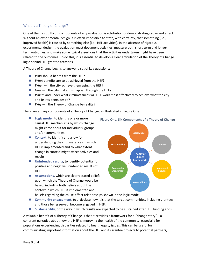#### What is a Theory of Change?

One of the most difficult components of any evaluation is attribution or demonstrating cause and effect. Without an experimental design, it is often impossible to state, with certainty, that something (i.e., improved health) is caused by something else (i.e., HEF activities). In the absence of rigorous experimental design, the evaluation must document activities, measure both short-term and longerterm outcomes, and make some logical assertions that the activities undertaken might have been related to the outcomes. To do this, it is essential to develop a clear articulation of the Theory of Change logic behind HEF grantee activities.

A Theory of Change begins to answer a set of key questions:

- *Who* should benefit from the HEF?
- *What* benefits are to be achieved from the HEF?
- *When* will the city achieve them using the HEF?
- *How will the city make this happen through the HEF?*
- **M** Where and under what circumstances will HEF work most effectively to achieve what the city and its residents desire?
- **Why will the Theory of Change be reality?**

There are six key components of a Theory of Change, as illustrated in Figure One:

- **Logic model**, to identify one or more causal HEF mechanisms by which change might come about for individuals, groups and/or communities.
- **Context**, to identify and allow for understanding the circumstances in which HEF is implemented and to what extent change in context might affect activities and results.
- Unintended results, to identify potential for positive and negative unintended results of HEF.
- **Assumptions**, which are clearly stated beliefs upon which the Theory of Change would be based, including both beliefs about the context in which HEF is implemented and





beliefs regarding the cause-effect relationships shown in the logic model.

- **Community engagement,** to articulate how it is that the target communities, including grantees and those being served, become engaged in HEF.
- **Sustainability**, or the way in which results are expected to be sustained after HEF funding ends.

A valuable benefit of a Theory of Change is that it provides a framework for a "change story" – a coherent narrative about how the HEF is improving the health of the community, especially for populations experiencing disparities related to health equity issues. This can be useful for communicating important information about the HEF and its grantee projects to potential partners,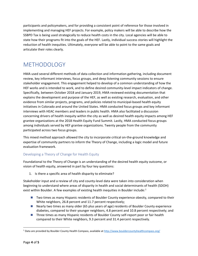participants and policymakers, and for providing a consistent point of reference for those involved in implementing and managing HEF projects. For example, policy makers will be able to describe how the SSBPD Tax is being used strategically to reduce health costs in the city. Local agencies will be able to state how their programs fit into the goals of the HEF. Lastly, individual success stories will highlight the reduction of health inequities. Ultimately, everyone will be able to point to the same goals and articulate their roles clearly.

# <span id="page-4-0"></span>METHODOLOGY

HMA used several different methods of data collection and information gathering, including document review, key informant interviews, focus groups, and deep listening community sessions to ensure stakeholder engagement. This engagement helped to develop of a common understanding of how the HEF works and is intended to work, and to define desired community-level impact indicators of change. Specifically, between October 2018 and January 2019, HMA reviewed existing documentation that explains the development and purpose of the HEF, as well as existing research, evaluation, and other evidence from similar projects, programs, and policies related to municipal-based health equity initiatives in Colorado and around the United States. HMA conducted focus groups and key informant interviews with HEAC members and leaders in public health. HMA also facilitated a discussion concerning drivers of health inequity within the city as well as desired health equity impacts among HEF grantee organizations at the 2018 Health Equity Fund Summit. Lastly, HMA conducted focus groups among individuals served by HEF grantee organizations. Twenty people from the community participated across two focus groups.

This mixed method approach allowed the city to incorporate critical on-the-ground knowledge and expertise of community partners to inform the Theory of Change, including a logic model and future evaluation framework.

#### Developing a Theory of Change for Health Equity

Foundational to the Theory of Change is an understanding of the desired health equity outcome, or vision of health equity, answered in part by four key questions:

1. Is there a specific area of health disparity to eliminate?

Stakeholder input and a review of city and county-level data were taken into consideration when beginning to understand where areas of disparity in health and social determinants of health (SDOH) exist within Boulder. A few examples of existing health inequities in Boulder include:<sup>[1](#page-4-1)</sup>

- Two times as many Hispanic residents of Boulder County experience obesity, compared to their White neighbors, 26.8 percent and 11.7 percent respectively;
- **Nearly two times as many older (65 plus years of age) residents of Boulder County experience** diabetes, compared to their younger neighbors, 4.8 percent and 10.8 percent respectively; and
- **Three times as many Hispanic residents of Boulder County self-report poor or fair health** compared to their White neighbors, 9.3 percent and 31.4 percent respectively.

<span id="page-4-1"></span><sup>&</sup>lt;sup>1</sup> Data are provided by Boulder County Health Compass, available at<http://www.bouldercountyhealthcompass.org/>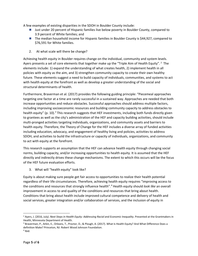A few examples of existing disparities in the SDOH in Boulder County include:

- **Just under 20 percent of Hispanic families live below poverty in Boulder County, compared to** 3.9 percent of White families; and
- The median household income for Hispanic families in Boulder County is \$44,927, compared to \$76,591 for White families.
- 2. At what scale will there be change?

Achieving health equity in Boulder requires change on the individual, community and system levels. Ayers presents a set of core elements that together make up the "Triple Aim of Health Equity". <sup>[2](#page-5-0)</sup> The elements include: 1) expand the understanding of what creates health, 2) implement health in all policies with equity as the aim, and 3) strengthen community capacity to create their own healthy future. These elements suggest a need to build capacity of individuals, communities, and systems to act with health equity at the forefront as well as develop a greater understanding of the social and structural determinants of health.

Furthermore, Braverman et al. (2017) provides the following guiding principle: "Piecemeal approaches targeting one factor at a time are rarely successful in a sustained way. Approaches are needed that both increase opportunities and reduce obstacles. Successful approaches should address multiple factors, including improving socioeconomic resources and building community capacity to address obstacles to health equity" (p. 10).<sup>[3](#page-5-1)</sup> This research suggests that HEF investments, including both funds directly given to grantees as well as the city's administration of the HEF and capacity building activities, should include multi-pronged activities targeting individuals, organizations, and community assets and barriers to health equity. Therefore, the Theory of Change for the HEF includes a diverse array of funded activities including education, advocacy, and engagement of healthy living and policies, activities to address SDOH, and activities to build the infrastructure or capacity of individuals, organizations, and community to act with equity at the forefront.

This research supports an assumption that the HEF can advance health equity through changing social norms, building capacity, and/or increasing opportunities to health equity. It is assumed that the HEF directly and indirectly drives these change mechanisms. The extent to which this occurs will be the focus of the HEF future evaluation efforts.

3. What will "health equity" look like?

Equity is about making sure people get fair access to opportunities to realize their health potential regardless of their life circumstances. Therefore, achieving health equity requires "improving access to the conditions and resources that strongly influence health".[4](#page-5-2) Health equity should *look like* an overall improvement in access to and quality of the conditions and resources that bring about health. Conditions that bring about health include improved cultural competence and delivery of health and social services, greater integration and/or collaboration of services, and the inclusion of equity in

<span id="page-5-0"></span> <sup>2</sup> Ayers, J. (2016, July). *Next Steps in Health Equity: Addressing Racial and Economic Inequality*. Presented at the Grantmakers in Health, Minnesota Department of Health.

<span id="page-5-1"></span><sup>&</sup>lt;sup>3</sup> Braverman, P., Arkin, E., Orleans, T., Proctor, D., & Plough, A. (2017). What Is Health Equity? And What Difference Does a definition Make? Princeton, NJ: Robert Wood Johnson Foundation.

<span id="page-5-2"></span> $4$  Ibid.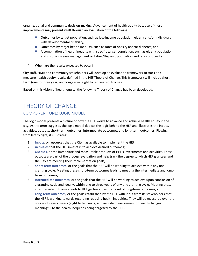organizational and community decision-making. Advancement of health equity because of these improvements may present itself through an evaluation of the following:

- Outcomes by target population, such as low-income population, elderly and/or individuals with developmental disability;
- Outcomes by target health inequity, such as rates of obesity and/or diabetes; and
- A combination of health inequity with specific target population, such as elderly population and chronic disease management or Latinx/Hispanic population and rates of obesity.
- 4. When are the results expected to occur?

City staff, HMA and community stakeholders will develop an evaluation framework to track and measure health equity results defined in the HEF Theory of Change. This framework will include shortterm (one to three year) and long-term (eight to ten year) outcomes.

Based on this vision of health equity, the following Theory of Change has been developed.

# <span id="page-6-0"></span>THEORY OF CHANGE

# <span id="page-6-1"></span>COMPONENT ONE: LOGIC MODEL

The logic model presents a picture of how the HEF works to advance and achieve health equity in the city. As the term suggests, the logic model depicts the logic behind the HEF and illustrates the inputs, activities, outputs, short-term outcomes, intermediate outcomes, and long-term outcomes. Flowing from left to right, it illustrates:

- 1. **Inputs**, or resources that the City has available to implement the HEF;
- 2. **Activities** that the HEF invests in to achieve desired outcomes;
- 3. **Outputs**, or the immediate and measurable products of HEF's investments and activities. These outputs are part of the process evaluation and help track the degree to which HEF grantees and the City are meeting their implementation goals;
- 4. **Short-term outcomes**, or the goals that the HEF will be working to achieve within any one granting cycle. Meeting these short-term outcomes leads to meeting the intermediate and longterm outcomes;
- 5. **Intermediate outcomes**, or the goals that the HEF will be working to achieve upon conclusion of a granting cycle and ideally, within one to three years of any one granting cycle. Meeting these intermediate outcomes leads to HEF getting closer to its set of long-term outcomes; and
- 6. **Long-term outcomes**, or the goals established by the HEF with input from its stakeholders that the HEF is working towards regarding reducing health inequities. They will be measured over the course of several years (eight to ten years) and include measurement of health changes meaningful to the health inequities being targeted by the HEF.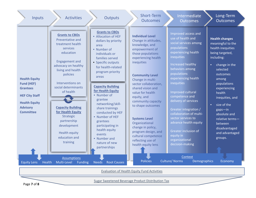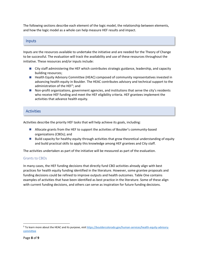The following sections describe each element of the logic model, the relationship between elements, and how the logic model as a whole can help measure HEF results and impact.

#### Inputs

Inputs are the resources available to undertake the initiative and are needed for the Theory of Change to be successful. The evaluation will track the availability and use of these resources throughout the initiative. These resources and/or inputs include:

- City staff administering the HEF which contributes strategic guidance, leadership, and capacity building resources;
- **Health Equity Advisory Committee (HEAC) composed of community representatives invested in** advancing health equity in Boulder. The HEAC contributes advisory and technical support to the administration of the HEF<sup>[5](#page-8-0)</sup>; and
- **Non-profit organizations, government agencies, and institutions that serve the city's residents** who receive HEF funding and meet the HEF eligibility criteria. HEF grantees implement the activities that advance health equity.

# **Activities**

Activities describe the priority HEF tasks that will help achieve its goals, including:

- **Allocate grants from the HEF to support the activities of Boulder's community-based** organizations (CBOs); and
- **Build capacity for healthy equity through activities that grow theoretical understanding of equity** and build practical skills to apply this knowledge among HEF grantees and City staff.

The activities undertaken as part of the initiative will be measured as part of the evaluation.

#### Grants to CBOs

In many cases, the HEF funding decisions that directly fund CBO activities already align with best practices for health equity funding identified in the literature. However, some grantee proposals and funding decisions could be refined to improve outputs and health outcomes. Table One contains examples of activities that have been identified as best practice in the literature. Some of these align with current funding decisions, and others can serve as inspiration for future funding decisions.

<span id="page-8-0"></span><sup>&</sup>lt;sup>5</sup> To learn more about the HEAC and its purpose, visi[t https://bouldercolorado.gov/human-services/health-equity-advisory](https://bouldercolorado.gov/human-services/health-equity-advisory-committee)[committee](https://bouldercolorado.gov/human-services/health-equity-advisory-committee)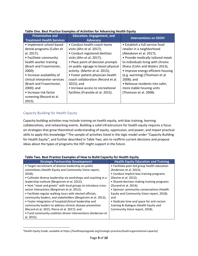| <b>Preventative and</b><br><b>Treatment Health Services</b>                                                                                                                                                                                                                                                                       | <b>Education, Engagement, and</b><br><b>Advocacy</b>                                                                                                                                                                                                                                                                                                                                                         | <b>Interventions on SDOH</b>                                                                                                                                                                                                                                                                                                                                                              |
|-----------------------------------------------------------------------------------------------------------------------------------------------------------------------------------------------------------------------------------------------------------------------------------------------------------------------------------|--------------------------------------------------------------------------------------------------------------------------------------------------------------------------------------------------------------------------------------------------------------------------------------------------------------------------------------------------------------------------------------------------------------|-------------------------------------------------------------------------------------------------------------------------------------------------------------------------------------------------------------------------------------------------------------------------------------------------------------------------------------------------------------------------------------------|
| • Implement school-based<br>dental programs (Culler et<br>al. 2017);<br>• Facilitate community<br>health worker training<br>(Brach and Fraserirector,<br>$2000$ ;<br>• Increase availability of<br>clinical interpreter services<br>(Brach and Fraserirector,<br>2000); and<br>• Increase risk factor<br>screening (Record et al. | • Conduct health-coach home<br>visits (Ahn et al. 2017);<br>• Conduct registered dietitian<br>visits (Ahn et al. 2017);<br>• Place point-of-decision prompts<br>on public signage to boost physical<br>activity. (Martin et al. 2015);<br>• Foster patient-physician-health<br>coach collaboration (Record et al.<br>$2015$ ; and<br>• Increase access to recreational<br>facilities (Franckle et al. 2015). | • Establish a full-service food<br>retailer in a neighborhood<br>(Abeykoon et al. 2017);<br>• Provide medically tailored meals<br>to individuals living with chronic<br>illness (Cohn and Waters 2013);<br>• Improve energy efficient housing<br>(e.g. warming) (Thomson et al.<br>$2008$ ; and<br>• Rehouse residents into safer,<br>more stable housing units<br>(Thomson et al. 2008). |
| $2015$ ).                                                                                                                                                                                                                                                                                                                         |                                                                                                                                                                                                                                                                                                                                                                                                              |                                                                                                                                                                                                                                                                                                                                                                                           |

#### **Table One. Best Practice Examples of Activities for Advancing Health Equity**

# Capacity Building for Health Equity

Capacity building activities may include training on health equity, anti-bias training, learning collaboratives, and networking events. Building a solid infrastructure for health equity requires a focus on strategies that grow theoretical understanding of equity, oppression, and power, and impart practical skills to apply this knowledge.<sup>[6](#page-9-0)</sup> The sample of activities listed in the logic model under "Capacity Building for Health Equity", and further described in Table Two, aim to reaffirm current decisions and propose ideas about the types of programs the HEF might support in the future.

| Table Two: Dest Flattice Examples of How to Dana Capacity for Health Equity |                                              |  |  |
|-----------------------------------------------------------------------------|----------------------------------------------|--|--|
| <b>Strategic Partnership Development</b>                                    | <b>Health Equity Education and Training</b>  |  |  |
| • Target recruitment of diverse leadership on public                        | • Facilitate peer-led group health education |  |  |
| committees (Health Equity and Community Voice report,                       | (Anderson et al. 2015);                      |  |  |
| $2018$ :                                                                    | • Conduct Implicit bias training programs    |  |  |
| • Cultivate diverse leadership via workshops and coaching in a              | (Devine et al. 2012);                        |  |  |
| leadership institute (Bergstrom et al. 2012);                               | • Shared-decision making training programs   |  |  |
| • Host "meet and greets" with local groups to introduce cross-              | (Durand et al. 2014);                        |  |  |
| sector interactions (Bergstrom et al. 2012);                                | • Sponsor community conversations (Health    |  |  |
| • Facilitate regular walking tours with elected officials,                  | Equity and Community Voice report, 2018);    |  |  |
| community leaders, and stakeholders (Bergstrom et al. 2012);                | and                                          |  |  |
| • Foster integration of hospital/clinical leadership and                    | • Dedicate time and space for anti-racism    |  |  |
| community leaders to address chronic disease prevention                     | training & dialogue (Health Equity and       |  |  |
| (Record et al. 2015; Pierce et al. 2017); and                               | Community Voice report, 2018).               |  |  |
| • Fund community coalition-driven interventions (Anderson et                |                                              |  |  |
| al. 2015).                                                                  |                                              |  |  |

#### **Table Two. Best Practice Examples of How to Build Capacity for Health Equity**

<span id="page-9-0"></span> <sup>6</sup>Health Equity Guide, available at https://healthequityguide.org/strategic-practices/build-organizational-capacity/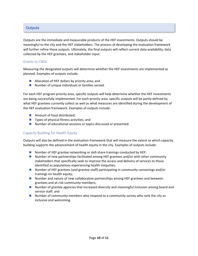# **Outputs**

Outputs are the immediate and measurable products of the HEF investments. Outputs should be meaningful to the city and the HEF stakeholders. The process of developing the evaluation framework will further refine these outputs. Ultimately, the final outputs will reflect current data availability, data collected by the HEF grantees, and stakeholder input.

#### Grants to CBOs

Measuring the designated outputs will determine whether the HEF investments are implemented as planned. Examples of outputs include:

- Allocation of HEF dollars by priority area; and
- Number of unique individuals or families served.

For each HEF program priority area, specific outputs will help determine whether the HEF investments are being successfully implemented. For each priority area, specific outputs will be partly defined by what HEF grantees currently collect as well as what measures are identified during the development of the HEF evaluation framework. Examples of outputs include:

- Amount of food distributed;
- $\blacksquare$  Types of physical fitness activities; and
- Number of educational sessions or topics discussed or presented.

#### Capacity Building for Health Equity

Outputs will also be defined in the evaluation framework that will measure the extent to which capacity building supports the advancement of health equity in the city. Examples of outputs include:

- Number of HEF grantee networking or skill-share trainings conducted by HEF;
- Number of new partnerships facilitated among HEF grantees and/or with other community stakeholders that specifically seek to improve the access and delivery of services to those identified as populations experiencing health inequities;
- Number of HEF grantees (and grantee staff) participating in community convenings and/or trainings on health equity;
- Number and nature of new collaborative partnerships among HEF grantees and between grantees and at-risk community members;
- Number of grantee agencies that increased diversity and meaningful inclusion among board and service staff; and
- $\blacksquare$  Number of community members who respond to a community survey who rank the city as inclusive and welcoming.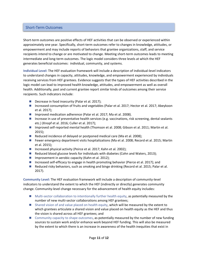## Short-Term Outcomes

Short-term outcomes are positive effects of HEF activities that can be observed or experienced within approximately one year. Specifically, short-term outcomes refer to changes in knowledge, attitudes, or empowerment and may include reports of behaviors that grantee organizations, staff, and service recipients intend to change or are motivated to change. Meeting short-term outcomes leads to meeting intermediate and long-term outcomes. The logic model considers three levels at which the HEF generates beneficial outcomes: individual, community, and systems.

**Individual Level:** The HEF evaluation framework will include a description of individual-level indicators to understand changes in capacity, attitudes, knowledge, and empowerment experienced by individuals receiving services from HEF grantees. Evidence suggests that the types of HEF activities described in the logic model can lead to improved health knowledge, attitudes, and empowerment as well as overall health. Additionally, past and current grantee report similar kinds of outcomes among their service recipients. Such indicators include:

- Decrease in food insecurity (Palar et al. 2017);
- Increased consumption of fruits and vegetables (Palar et al. 2017; Hector et al. 2017; Abeykoon et al. 2017);
- Improved medication adherence (Palar et al. 2017; Ma et al. 2008).
- **Increase in use of preventative health services (e.g. vaccinations, risk screening, dental sealants** etc.) (Knopf et al. 2016; Culler et al. 2017);
- Improved self-reported mental health (Thomson et al. 2008; Gibson et al. 2011; Martin et al. 2015);
- Reduced incidence of delayed or postponed medical care (Ma et al. 2008);
- **Fewer emergency department visits hospitalizations (Ma et al. 2008; Record et al. 2015; Martin** et al. 2015);
- Increased physical activity (Peirce et al. 2017; Kahn et al. 2002);
- Reduced blood glucose levels for individuals with diabetes (Cohn and Waters, 2013);
- **Improvement in aerobic capacity (Kahn et al. 2012);**
- Increased self-efficacy to engage in health promoting behavior (Pierce et al. 2017); and
- Reduced risky behaviors, such as smoking and binge drinking (Record et al. 2015; Palar et al. 2017).

**Community Level:** The HEF evaluation framework will include a description of community-level indicators to understand the extent to which the HEF (indirectly or directly) generates community change. Community-level change necessary for the advancement of health equity includes:

- **Multi-sector collaboration to intentionally further health equity, as potentially measured by the** number of new multi-sector collaborations among HEF grantees;
- Shared vision of and value placed on health equity, which will be measured by the extent to which grantees articulate a shared vision and value placed on health equity as the HEF and thus the vision is shared across all HEF grantees; and
- **E** Community capacity to shape outcomes, as potentially measured by the number of new funding sources to sustain work and/or enhance work beyond HEF funding. This will also be measured by the extent to which there is an increase in awareness of the health inequities that exist in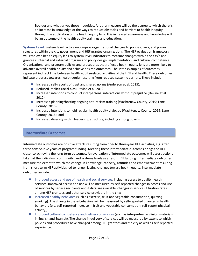Boulder and what drives those inequities. Another measure will be the degree to which there is an increase in knowledge of the ways to reduce obstacles and barriers to health inequity through the application of the health equity lens. This increased awareness and knowledge will be an outcome of the health equity trainings and education.

**Systems Level:** System level factors encompass organizational changes to policies, laws, and power structures within the city government and HEF grantee organizations. The HEF evaluation framework will employ a health equity lens to system-level indicators to measure changes within the city's and grantees' internal and external program and policy design, implementation, and cultural competence. Organizational and program policies and procedures that reflect a health equity lens are more likely to advance overall health equity and achieve desired outcomes. The listed examples of outcomes represent indirect links between health equity-related activities of the HEF and health. These outcomes indicate progress towards health equity resulting from reduced systemic barriers. These include:

- Increased self-reports of trust and shared norms (Anderson et al. 2015);
- Reduced implicit racial bias (Devine et al. 2012);
- Increased intentions to conduct interpersonal interactions without prejudice (Devine et al. 2012);
- Increased planning/hosting ongoing anti-racism training (Washtenaw County, 2019; Lane County, 2016);
- **Increased intentions to hold regular health equity dialogue (Washtenaw County, 2019; Lane** County, 2016); and
- Increased diversity within leadership structure, including among boards.

#### Intermediate Outcomes

Intermediate outcomes are positive effects resulting from one- to three-year HEF activities, e.g. after three consecutive years of program funding. Meeting these intermediate outcomes brings the HEF closer to achieving the long-term outcomes. An evaluation of intermediate outcomes will assess actions taken at the individual, community, and systems levels as a result HEF funding. Intermediate outcomes measure the extent to which the change in knowledge, capacity, attitudes and empowerment resulting from short-term HEF activities led to longer-lasting changes toward health equity. Intermediate outcomes include:

- **Improved access and use of health and social services, including access to quality health** services. Improved access and use will be measured by self-reported changes in access and use of services by service recipients and if data are available, changes in service utilization rates among HEF grantees and other service providers in the city;
- Increased healthy behaviors (such as exercise, fruit and vegetable consumption, quitting smoking). The change in these behaviors will be measured by self-reported changes in health behaviors (e.g. self-reported increase in fruit and vegetable consumption; self-report physical activity);
- **IM** Improved cultural competence and delivery of services (such as interpreters in clinics, materials in English and Spanish). The change in delivery of services will be measured by extent to which policies and procedures have changed among HEF grantees and the city as well as self-reported experience;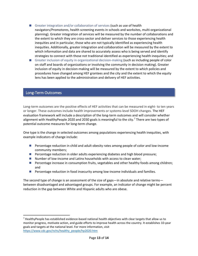- Greater integration and/or collaboration of services (such as use of health navigators/Promotores, health screening events in schools and worksites, multi-organizational planning). Greater integration of services will be measured by the number of collaborations and the extent to which they are cross-sector and deliver services to those experiencing health inequities and in particular, those who are not typically identified as experiencing health inequities. Additionally, greater integration and collaboration will be measured by the extent to which information and data are shared to accurately assess who is being served and identify strategies to connect with those not traditional identified as experiencing health inequities; and
- Greater inclusion of equity in organizational decision-making (such as including people of color on staff and boards of organizations or involving the community in decision making). Greater inclusion of equity in decision-making will be measured by the extent to which policies and procedures have changed among HEF grantees and the city and the extent to which the equity lens has been applied to the administration and delivery of HEF activities.

#### Long-Term Outcomes

Long-term outcomes are the positive effects of HEF activities that can be measured in eight- to ten years or longer. These outcomes include health improvements or systems-level SDOH changes. The HEF evaluation framework will include a description of the long-term outcomes and will consider whether alignment with HealthyPeople 2020 and 2030 goals is meaningful to the city.<sup>[7](#page-13-0)</sup> There are two types of potential outcome measures for long-term change.

One type is the change in selected outcomes among populations experiencing health inequities, with example indicators of change include:

- **Percentage reduction in child and adult obesity rates among people of color and low-income** community members;
- **Percentage reduction in older adults experiencing diabetes and high blood pressure;**
- Number of low-income and Latinx households with access to clean water;
- **Percentage increase in consumption fruits, vegetables and other healthy foods among children;** and
- **Percentage reduction in food insecurity among low-income individuals and families.**

The second type of change is an assessment of the size of gaps—in absolute and relative terms between disadvantaged and advantaged groups. For example, an indicator of change might be percent reduction in the gap between White and Hispanic adults who are obese.

<span id="page-13-0"></span> $7$  HealthyPeople has established evidence-based national health objectives with clear targets that allow us to monitor progress, motivate action, and guide efforts to improve health across the country. It establishes 10-year goals and targets at the national level. For more information, visit [https://www.cdc.gov/nchs/healthy\\_people/hp2020.htm](https://www.cdc.gov/nchs/healthy_people/hp2020.htm)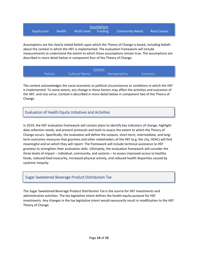<span id="page-14-0"></span>

| <b>Assumptions</b> |               |             |                |                        |                    |
|--------------------|---------------|-------------|----------------|------------------------|--------------------|
| <b>Equity Lens</b> | <b>Nealth</b> | Multi-Level | <b>Funding</b> | <b>Community Needs</b> | <b>Root Causes</b> |

<span id="page-14-1"></span>Assumptions are the clearly stated beliefs upon which the Theory of Change is based, including beliefs about the context in which the HEF is implemented. The evaluation framework will include measurements to understand the extent to which these assumptions remain true. The assumptions are described in more detail below in component four of the Theory of Change.

|                 |               | Context      |         |  |
|-----------------|---------------|--------------|---------|--|
| <b>Policies</b> | Culture/Norms | Demographics | Economy |  |

The context acknowledges the socio-economic or political circumstances or conditions in which the HEF is implemented. To some extent, any change in these factors may affect the activities and outcomes of the HEF, and vice versa. Context is described in more detail below in component two of the Theory of Change.

# Evaluation of Health Equity Initiatives and Activities

In 2019, the HEF evaluation framework will contain plans to identify key indicators of change, highlight data collection needs, and present protocols and tools to assess the extent to which the Theory of Change occurs. Specifically, the evaluation will define the outputs, short-term, intermediate, and longterm outcomes measures that grantees and other stakeholders of the HEF (e.g. the city, HEAC) will find meaningful and on which they will report. The framework will include technical assistance to HEF grantees to strengthen their evaluation skills. Ultimately, the evaluation framework will consider the three levels of impact – individual, community, and systems – to assess improved access to healthy foods, reduced food insecurity, increased physical activity, and reduced health disparities caused by systemic inequity.

#### Sugar Sweetened Beverage Product Distribution Tax

The Sugar Sweetened Beverage Product Distribution Tax is the source for HEF investments and administrative activities. The tax legislative intent defines the health equity purpose for HEF investments. Any changes in the tax legislative intent would necessarily result in modification to the HEF Theory of Change.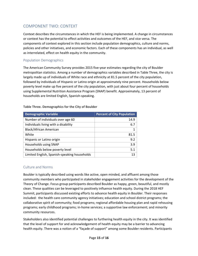# <span id="page-15-0"></span>COMPONENT TWO: CONTEXT

Context describes the circumstances in which the HEF is being implemented. A change in circumstances or context has the potential to effect activities and outcomes of the HEF, and vice versa. The components of context explored in this section include population demographics, culture and norms, policies and other initiatives, and economic factors. Each of these components has an individual, as well as interrelated, effect on health equity in the community.

## Population Demographics

The American Community Survey provides 2015 five-year estimates regarding the city of Boulder metropolitan statistics. Among a number of demographics variables described in Table Three, the city is largely made up of individuals of White race and ethnicity at 81.5 percent of the city population, followed by individuals of Hispanic or Latino origin at approximately nine percent. Households below poverty level make up five percent of the city population, with just about four percent of households using Supplemental Nutrition Assistance Program (SNAP) benefit. Approximately, 13 percent of households are limited English, Spanish-speaking.

| <b>Demographic Variable</b>                  | <b>Percent of City Population</b> |
|----------------------------------------------|-----------------------------------|
| Number of individuals over age 60            | 14.9                              |
| Individuals living with a disability         | 6.7                               |
| Black/African American                       |                                   |
| White                                        | 81.5                              |
| Hispanic or Latino origin                    | 9.2                               |
| Households using SNAP                        | 3.9                               |
| Households below poverty level               | 5.1                               |
| Limited English, Spanish-speaking households | 13                                |

**Table Three. Demographics for the City of Boulder**

#### Culture and Norms

Boulder is typically described using words like active, open minded, and affluent among those community members who participated in stakeholder engagement activities for the development of the Theory of Change. Focus group participants described Boulder as happy, green, beautiful, and mostly clean. These qualities can be leveraged to positively influence health equity. During the 2018 HEF Summit, participants discussed existing efforts to advance health equity in Boulder. Their responses included: the health care community agency initiatives; education and school district programs; the collaborative spirit of community; food programs; regional affordable housing plan and rapid rehousing programs; early childhood programs; in-home services; a supportive law enforcement; and minority community resources.

Stakeholders also identified potential challenges to furthering health equity in the city. It was identified that the level of support for and acknowledgement of health equity may be a barrier to advancing health equity. There was a notion of a "façade of support" among some Boulder residents. Participants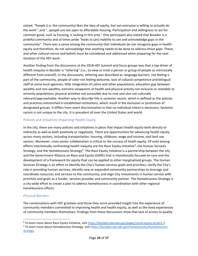stated, "People (i.e. the community) likes the idea of equity, but not everyone is willing to actually do the work", and "…people are not open to affordable housing. Participation and willingness to act for common good, such as housing, is lacking in this area." One participant also stated that Boulder is a prideful community and at times pride "leads to [an] inability to see and acknowledge gaps in the community". There was a sense among the community that individuals do not recognize gaps in health equity and therefore, do not acknowledge that anything needs to be done to address those gaps. These, and other cultural norms and beliefs must be considered and addressed when preparing for the next iteration of the HEF work.

Another finding from the discussions at the 2018 HEF Summit and focus groups was that a top driver of health inequity in Boulder is "othering" (i.e., to view or treat a person or group of people as intrinsically different from oneself). In the discussions, othering was described as: language barriers, not feeling a part of the community, people of color not feeling welcome, lack of cultural competence and bilingual staff at some local agencies, little integration of Latinx and other populations, education gap between wealthy and non-wealthy, extreme viewpoints of health and physical activity not inclusive or relatable to minority populations, physical activities not accessible due to cost and also not culturally relevant/approachable. Another way to describe this is systemic racism, which is defined as the policies and practices entrenched in established institutions, which result in the exclusion or promotion of designated groups. It differs from overt discrimination in that no individual intent is necessary. Systemic racism is not unique to the city. It is prevalent all over the United States and world.

#### Policies and Initiatives Impacting Health Equity

In the city, there are many policies and initiatives in place that impact health equity both directly or indirectly as well as both positively or negatively. There are opportunities for advancing health equity across many sectors, including transportation, housing, childcare, wage and income, and land use sectors. Moreover, cross-sector collaboration is critical to the success of heath equity. Of note among efforts intentionally confronting health inequity are the Race Equity Initiative<sup>[8](#page-16-0)</sup>, the Human Services Strategy, and the Homelessness Strategy<sup>[9](#page-16-1)</sup>. The Race Equity Initiative is a partnership between the city and the Government Alliance on Race and Equity (GARE) that is intentionally focused on race and the development of a framework for equity that can be applied to other marginalized groups. The Human Services Strategy is an effort to identify the City's human services goals and priorities; clarify the City's role in providing human services; identify new or expanded community partnerships to leverage and coordinate resources and services to the community; and align City investments in human service with priorities and goals as a funder, services provider and community partner. The Homelessness Strategy is a city-wide effort to create a plan to address homelessness in coordination with other regional homelessness efforts.

# Physical Barriers

The conversations with HEF grantees and those they serve provided insight into the experience of community members committed to improving health and health equity, as well as the lived experiences of community members themselves. Findings from these discussions show that lack of access to quality

<span id="page-16-1"></span><span id="page-16-0"></span><sup>&</sup>lt;sup>8</sup> To learn more about Race Equity Initiative, visi[t https://bouldercolorado.gov/pages/racial-equity-project-3](https://bouldercolorado.gov/pages/racial-equity-project-3) 9 To learn more about Homelessness Strategy, visit [https://bouldercolorado.gov/homelessness/homelessness](https://bouldercolorado.gov/homelessness/homelessness-strategy)[strategy](https://bouldercolorado.gov/homelessness/homelessness-strategy)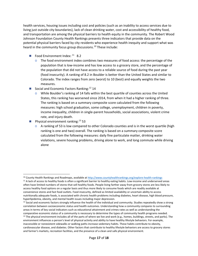health services, housing issues including cost and policies (such as an inability to access services due to living just outside city boundaries), lack of clean drinking water, cost and accessibility of healthy food, and transportation are among the physical barriers to health equity in the community. The Robert Wood Johnson Foundation County Health Rankings presents three indicators that provide data on the potential physical barriers faced by city residents who experience health inequity and support what was heard in the community focus group discussions.<sup>[10](#page-17-0)</sup> These include:

- Food Environment Index:  $11$  8.2
	- $\circ$  The food environment index combines two measures of food access: the percentage of the population that is low-income and has low access to a grocery store, and the percentage of the population that did not have access to a reliable source of food during the past year (food insecurity). A ranking of 8.2 in Boulder is better than the United States and similar to Colorado. The index ranges from zero (worst) to 10 (best) and equally weights the two measures.
- Social and Economic Factors Ranking:  $12$  14
	- o While Boulder's ranking of 14 falls within the best quartile of counties across the United States, this ranking has worsened since 2014, from when it had a higher ranking of three. The ranking is based on a summary composite score calculated from the following measures: high school graduation, some college, unemployment, children in poverty, income inequality, children in single-parent households, social associations, violent crime rate, and injury death.
- Physical environment ranking:  $^{13}$  $^{13}$  $^{13}$  53
	- $\circ$  A ranking of 53 is low compared to other Colorado counties and is in the worst quartile (high ranking is one and two) overall. The ranking is based on a summary composite score calculated from the following measures: daily fine particulate matter, drinking water violations, severe housing problems, driving alone to work, and long commute while driving alone

<span id="page-17-0"></span><sup>&</sup>lt;sup>10</sup> County Health Rankings and Roadmaps, available a[t http://www.countyhealthrankings.org/explore-health-rankings](http://www.countyhealthrankings.org/explore-health-rankings)

<span id="page-17-1"></span><sup>&</sup>lt;sup>11</sup> A lack of access to healthy foods is often a significant barrier to healthy eating habits. Low-income and underserved areas often have limited numbers of stores that sell healthy foods. People living farther away from grocery stores are less likely to access healthy food options on a regular basis and thus more likely to consume foods which are readily available at convenience stores and fast food outlets. Food insecurity, defined as limited availability or uncertain ability to access nutritionally adequate foods, is associated with chronic health problems including diabetes, heart disease, high blood pressure, hyperlipidemia, obesity, and mental health issues including major depression.

<span id="page-17-3"></span><span id="page-17-2"></span> $12$  Social and economic factors strongly influence the health of the individual and community. Studies repeatedly show a strong correlation between socioeconomic status and health outcomes. Understanding how a community compares to surrounding areas in terms of key social indicators such as educational attainment and crimes rates as well as understanding the comparative economic status of a community is necessary to determine the types of community health programs needed.  $13$  The physical environment includes all of the parts of where we live and work (e.g., homes, buildings, streets, and parks). The environment influences a person's level of physical activity and ability to have healthy lifestyle behaviors. For example, inaccessible or nonexistent sidewalks or walking paths increase sedentary habits. These habits contribute to obesity, cardiovascular disease, and diabetes. Other factors that contribute to healthy lifestyle behaviors are access to grocery stores and farmer's markets, recreation facilities, and the presence of a clean and safe physical environment.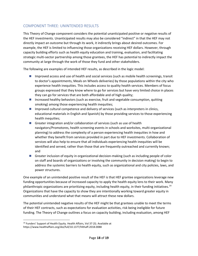# <span id="page-18-0"></span>COMPONENT THREE: UNINTENDED RESULTS

This Theory of Change component considers the potential unanticipated positive or negative results of the HEF investments. Unanticipated results may also be considered "indirect" in that the HEF may not directly impact an outcome but through its work, it indirectly brings about desired outcomes. For example, the HEF is limited to influencing those organizations receiving HEF dollars. However, through capacity building efforts such as health equity education and training, evaluation, and facilitating strategic multi-sector partnership among those grantees, the HEF has potential to indirectly impact the community at large through the work of those they fund and other stakeholders.

The following are examples of intended HEF results, as described in the logic model:

- Improved access and use of health and social services (such as mobile health screenings, transit to doctor's appointments, Meals on Wheels deliveries) by those populations within the city who experience health inequities. This includes access to quality health services. Members of focus groups expressed that they know where to go for services but have very limited choice in places they can go for services that are both affordable and of high quality;
- **Increased healthy behaviors (such as exercise, fruit and vegetable consumption, quitting** smoking) among those experiencing health inequities;
- **Improved cultural competence and delivery of services (such as interpreters in clinics,** educational materials in English and Spanish) by those providing services to those experiencing health inequities;
- Greater integration and/or collaboration of services (such as use of health navigators/Promotores, health screening events in schools and worksites, multi-organizational planning) to address the complexity of a person experiencing health inequities in how and whether they benefit from services provided in part due to HEF investments. Collaboration of services will also help to ensure that all individuals experiencing health inequities will be identified and served, rather than those that are frequently outreached and currently known; and
- Greater inclusion of equity in organizational decision-making (such as including people of color on staff and boards of organizations or involving the community in decision making) to begin to address the systemic barriers to health equity, such as organizational and city policies, laws, and power structures.

One example of an unintended positive result of the HEF is that HEF grantee organizations leverage new funding opportunities because of increased capacity to apply the health equity lens to their work. Many philanthropic organizations are prioritizing equity, including health equity, in their funding initiatives.<sup>[14](#page-18-1)</sup> Organizations that have the capacity to show they are intentionally working toward greater equity in communities and understand what that means will attract these new dollars.

The potential unintended negative results of the HEF might be that grantees unable to meet the terms of their HEF contracts, such as expectations for evaluation activities, risk being ineligible for future funding. The Theory of Change outlines a focus on capacity building, including evaluation, among HEF

<span id="page-18-1"></span> <sup>14</sup> Funders' Support of Health Equity. Health Affairs, Vol 37 (3). Available at https://www.healthaffairs.org/doi/full/10.1377/hlthaff.2018.0088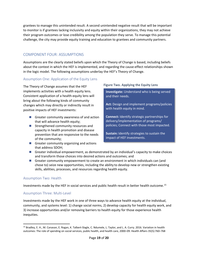grantees to manage this unintended result. A second unintended negative result that will be important to monitor is if grantees lacking inclusivity and equity within their organizations, they may not achieve their program outcomes or lose credibility among the population they serve. To manage this potential challenge, the city may provide equity training and education to grantees and community partners.

## <span id="page-19-0"></span>COMPONENT FOUR: ASSUMPTIONS

Assumptions are the clearly stated beliefs upon which the Theory of Change is based, including beliefs about the context in which the HEF is implemented, and regarding the cause-effect relationships shown in the logic model. The following assumptions underlay the HEF's Theory of Change.

#### Assumption One: Application of the Equity Lens

The Theory of Change assumes that the HEF implements activities with a health equity lens. Consistent application of a health-equity lens will bring about the following kinds of community changes which may directly or indirectly result in positive impacts of HEF investments:

- Greater community awareness of and action that will advance health equity;
- **Strengthened community resources and** capacity in health promotion and disease prevention that are responsive to the needs of the community;
- Greater community organizing and actions that address SDOH;

#### **Figure Two. Applying the Equity Lens**

**Investigate:** Understand who is being served and their needs.

**Act:** Design and implement programs/policies with health equity in mind.

**Connect:** Identify strategic partnerships for delivery/implementation of programs/ policies; Connect with those most impacted.

**Sustain:** Identify strategies to sustain the impact of HEF investments.

- Greater individual empowerment, as demonstrated by an individual's capacity to make choices and transform those choices into desired actions and outcomes; and
- Greater community empowerment to create an environment in which individuals can (and chose to) seize new opportunities, including the ability to develop new or strengthen existing skills, abilities, processes, and resources regarding health equity.

#### Assumption Two: Health

Investments made by the HEF in social services and public health result in better health outcome. [15](#page-19-1)

#### Assumption Three: Multi-Level

Investments made by the HEF work in one of three ways to advance health equity at the individual, community, and systems level: 1) change social norms, 2) develop capacity for health equity work, and 3) increase opportunities and/or removing barriers to health equity for those experience health inequities.

<span id="page-19-1"></span> <sup>15</sup> Bradley, E. H., M. Canavan, E. Rogan, K. Talbert-Slagle, C. Ndumele, L. Taylor, and L. A. Curry. 2016. Variation in health outcomes: The role of spending on social services, public health, and health care, 2000–09. Health Affairs 35(5):760–768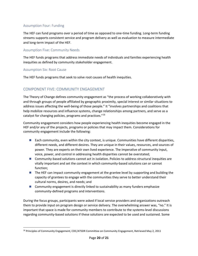#### Assumption Four: Funding

The HEF can fund programs over a period of time as opposed to one-time funding. Long-term funding streams supports consistent service and program delivery as well as evaluation to measure intermediate and long-term impact of the HEF.

#### Assumption Five: Community Needs

The HEF funds programs that address immediate needs of individuals and families experiencing health inequities as defined by community stakeholder engagement.

#### Assumption Six: Root Cause

The HEF funds programs that seek to solve root causes of health inequities.

# <span id="page-20-0"></span>COMPONENT FIVE: COMMUNITY ENGAGEMENT

The Theory of Change defines community engagement as "the process of working collaboratively with and through groups of people affiliated by geographic proximity, special interest or similar situations to address issues affecting the well-being of those people." It "involves partnerships and coalitions that help mobilize resources and influence systems, change relationships among partners, and serve as a catalyst for changing policies, programs and practices."[16](#page-20-1)

Community engagement considers how people experiencing health inequities become engaged in the HEF and/or any of the projects, programs or policies that may impact them. Considerations for community engagement include the following:

- **Each community, even within the city context, is unique. Communities have different disparities,** different needs, and different desires. They are unique in their values, resources, and sources of power. They are experts on their own lived experience. The imperative of community input, voice, power, and control in addressing health disparities cannot be overstated;
- Community-based solutions cannot act in isolation. Policies to address structural inequities are vitally important and set the context in which community-based solutions can or cannot function;
- The HEF can impact community engagement at the grantee level by supporting and building the capacity of grantees to engage with the communities they serve to better understand their cultural norms, desires, and needs; and
- **Community engagement is directly linked to sustainability as many funders emphasize** community-defined programs and interventions.

During the focus groups, participants were asked if local service providers and organizations outreach them to provide input on program design or service delivery. The overwhelming answer was, "no." It is important that space is made for community members to contribute to the systems-level discussions regarding community-based solutions if these solutions are expected to be used and sustained. Some

<span id="page-20-1"></span><sup>&</sup>lt;sup>16</sup> Principles of Community Engagement, CDC/ATSDR Committee on Community Engagement, Retrieved May 2, 2011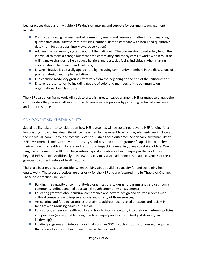best practices that currently guide HEF's decision-making and support for community engagement include:

- **Conduct a thorough assessment of community needs and resources, gathering and analyzing** quantitative data (surveys, vital statistics, national data to compare with local) and qualitative data (from focus groups, interviews, observation);
- Address the community system, not just the individual. The burden should not solely be on the individual to make a change but rather the community and the systems it works within must be willing make changes to help reduce barriers and obstacles facing individuals when making choices about their health and wellness;
- Ensure initiative is culturally appropriate by including community members in the discussions of program design and implementation;
- Use coalitions/advisory groups effectively from the beginning to the end of the initiative; and
- **E** Ensure representation by including people of color and members of the community on organizational boards and staff.

The HEF evaluation framework will seek to establish greater capacity among HEF grantees to engage the communities they serve at all levels of the decision-making process by providing technical assistance and other resources.

# <span id="page-21-0"></span>COMPONENT SIX: SUSTAINABILITY

Sustainability takes into consideration how HEF outcomes will be sustained beyond HEF funding for a long-lasting impact. Sustainability will be measured by the extent to which key elements are in place at the individual, community, and systems levels to sustain those outcomes. Specifically, sustainability of HEF investments is measured by both the City's and past and current grantees' capacities to implement their work with a health equity lens and report that impact in a meaningful way to stakeholders. One tangible outcome of the HEF will be grantees capacity to advance health equity in the work they do beyond HEF support. Additionally, this new capacity may also lead to increased attractiveness of these grantees to other funders of health equity.

There are best practices to consider when thinking about building capacity for and sustaining health equity work. These best practices are a priority for the HEF and are factored into its Theory of Change. These best practices include:

- **Building the capacity of community-led organizations to design programs and services from a** community-defined and led approach through community engagement;
- **E** Educating grantees about cultural competence and how to design and deliver services with cultural competence to improve access and quality of those services;
- **Articulating and funding strategies that aim to address race-related stressors and racism in** tandem with reducing health disparities;
- **E** Educating grantees on health equity and how to integrate equity into their own internal policies and practices (e.g. equitable hiring practices; equity and inclusion (not just diversity) in leadership);
- **Funding programs and interventions that consider SDOH, such as food and housing inequities,** that are root causes of health inequities in the city; and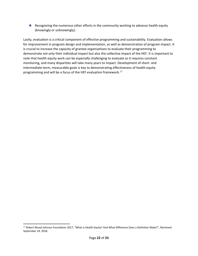**Recognizing the numerous other efforts in the community working to advance health equity** (knowingly or unknowingly).

Lastly, evaluation is a critical component of effective programming and sustainability. Evaluation allows for improvement in program design and implementation, as well as demonstration of program impact. It is crucial to increase the capacity of grantee organizations to evaluate their programming to demonstrate not only their individual impact but also the collective impact of the HEF. It is important to note that health equity work can be especially challenging to evaluate as it requires constant monitoring, and many disparities will take many years to impact. Development of short- and intermediate-term, measurable goals is key to demonstrating effectiveness of health equity programming and will be a focus of the HEF evaluation framework. [17](#page-22-1)

<span id="page-22-1"></span><span id="page-22-0"></span><sup>&</sup>lt;sup>17</sup> Robert Wood Johnson Foundation 2017, "What is Health Equity? And What Difference Does a Definition Make?", Retrieved September 24, 2018.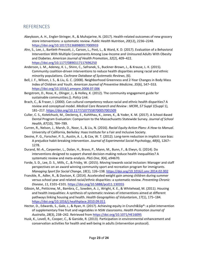# **REFERENCES**

- Abeykoon, A. H., Engler-Stringer, R., & Muhajarine, N. (2017). Health-related outcomes of new grocery store interventions: a systematic review. *Public Health Nutrition*, *20*(12), 2236–2248. <https://doi.org/10.1017/S1368980017000933>
- Ahn, S., Lee, J., Bartlett-Prescott, J., Carson, L., Post, L., & Ward, K. D. (2017). Evaluation of a Behavioral Intervention With Multiple Components Among Low-Income and Uninsured Adults With Obesity and Diabetes. *American Journal of Health Promotion*, *32*(2), 409–422. <https://doi.org/10.1177/0890117117696250>
- Anderson, L. M., Adeney, K. L., Shinn, C., Safranek, S., Buckner-Brown, J., & Krause, L. K. (2015). Community coalition-driven interventions to reduce health disparities among racial and ethnic minority populations. *Cochrane Database of Systematic Reviews*, (6).
- Bell, J. F., Wilson, J. S., & Liu, G. C. (2008). Neighborhood Greenness and 2-Year Changes in Body Mass Index of Children and Youth. *American Journal of Preventive Medicine*, *35*(6), 547–553. <https://doi.org/10.1016/j.amepre.2008.07.006>
- Bergstrom, D., Rose, K., Olinger, J., & Holley, K. (2012). The community engagement guide for sustainable communities.(). *Policy Link*.
- Brach, C., & Fraser, I. (2000). Can cultural competency reduce racial and ethnic health disparities? A review and conceptual model. *Medical Care Research and Review : MCRR*, *57 Suppl 1*(Suppl 1), 181–217.<https://doi.org/10.1177/1077558700057001S09>
- Culler, C. S., Kotelchuck, M., Declercq, E., Kuhlthau, K., Jones, K., & Yoder, K. M. (2017). A School-Based Dental Program Evaluation: Comparison to the Massachusetts Statewide Survey. *Journal of School Health*, *87*(10), 784–789.
- Curren, R., Nelson, J., Marsh, D., Noor, S., & Liu, N. (2016). *Racial Equity Action Plans: A How-to Manual*. University of California, Berkeley: Haas Institute for a Fair and Inclusive Society.
- Devine, P. G., Forscher, P. S., Austin, A. J., & Cox, W. T. (2012). Long-term reduction in implicit race bias: A prejudice habit-breaking intervention. *Journal of Experimental Social Psychology*, *48*(6), 1267– 1278.
- Durand, M.-A., Carpenter, L., Dolan, H., Bravo, P., Mann, M., Bunn, F., & Elwyn, G. (2014). Do interventions designed to support shared decision-making reduce health inequalities? A systematic review and meta-analysis. *PloS One*, *9*(4), e94670.
- Forde, S. D., Lee, D. S., Mills, C., & Frisby, W. (2015). Moving towards social inclusion: Manager and staff perspectives on an award winning community sport and recreation program for immigrants. *Managing Sport for Social Change*, *18*(1), 126–138.<https://doi.org/10.1016/j.smr.2014.02.002>
- Franckle, R., Adler, R., & Davison, K. (2014). Accelerated weight gain among children during summer versus school year and related racial/ethnic disparities: a systematic review. *Preventing Chronic Disease*, *11*, E101–E101[. https://doi.org/10.5888/pcd11.130355](https://doi.org/10.5888/pcd11.130355)
- Gibson, M., Petticrew, M., Bambra, C., Sowden, A. J., Wright, K. E., & Whitehead, M. (2011). Housing and health inequalities: A synthesis of systematic reviews of interventions aimed at different pathways linking housing and health. *Health Geographies of Voluntarism*, *17*(1), 175–184. <https://doi.org/10.1016/j.healthplace.2010.09.011>
- Hector, D., Edwards, S., Gale, J., & Ryan, H. (2017). Achieving equity in Crunch&Sip®: a pilot intervention of supplementary free fruit and vegetables in NSW classrooms. *Health Promotion Journal of Australia*, *28*(3), 238–242. Retrieved from<https://doi.org/10.1071/HE16095>
- Husk, K., Lovell, R., Cooper, C., & Garside, R. (2013). Participation in environmental enhancement and conservation activities for health and well-being in adults (intervention protocol).